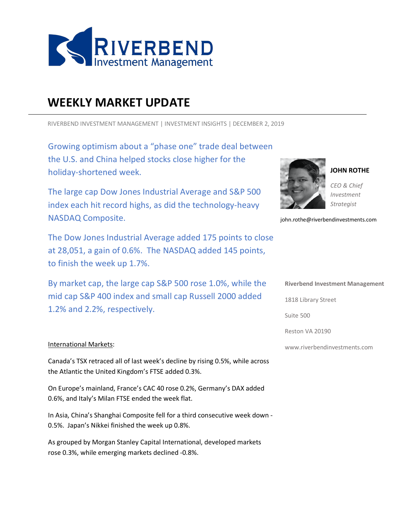

# **WEEKLY MARKET UPDATE**

RIVERBEND INVESTMENT MANAGEMENT | INVESTMENT INSIGHTS | DECEMBER 2, 2019

 holiday-shortened week. Growing optimism about a "phase one" trade deal between the U.S. and China helped stocks close higher for the

The large cap Dow Jones Industrial Average and S&P 500 index each hit record highs, as did the technology-heavy NASDAQ Composite.

The Dow Jones Industrial Average added 175 points to close at 28,051, a gain of 0.6%. The NASDAQ added 145 points, to finish the week up 1.7%.

By market cap, the large cap S&P 500 rose 1.0%, while the mid cap S&P 400 index and small cap Russell 2000 added 1.2% and 2.2%, respectively.

### International Markets:

Canada's TSX retraced all of last week's decline by rising 0.5%, while across the Atlantic the United Kingdom's FTSE added 0.3%.

On Europe's mainland, France's CAC 40 rose 0.2%, Germany's DAX added 0.6%, and Italy's Milan FTSE ended the week flat.

In Asia, China's Shanghai Composite fell for a third consecutive week down - 0.5%. Japan's Nikkei finished the week up 0.8%.

As grouped by Morgan Stanley Capital International, developed markets rose 0.3%, while emerging markets declined -0.8%.



**JOHN ROTHE**

*CEO & Chief Investment Strategist*

john.rothe@riverbendinvestments.com

#### **Riverbend Investment Management**

1818 Library Street

Suite 500

Reston VA 20190

www.riverbendinvestments.com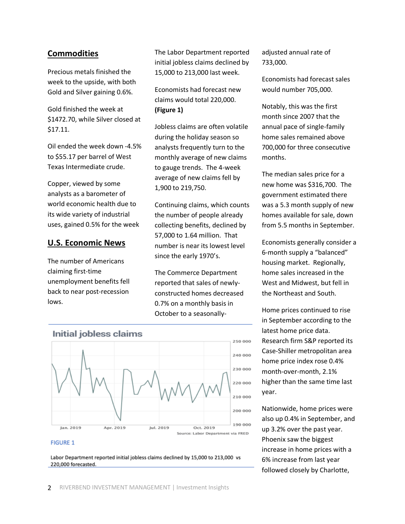# **Commodities**

Precious metals finished the week to the upside, with both Gold and Silver gaining 0.6%.

Gold finished the week at \$1472.70, while Silver closed at \$17.11.

Oil ended the week down -4.5% to \$55.17 per barrel of West Texas Intermediate crude.

Copper, viewed by some analysts as a barometer of world economic health due to its wide variety of industrial uses, gained 0.5% for the week

## **U.S. Economic News**

The number of Americans claiming first-time unemployment benefits fell back to near post-recession lows.

The Labor Department reported initial jobless claims declined by 15,000 to 213,000 last week.

Economists had forecast new claims would total 220,000. **(Figure 1)**

Jobless claims are often volatile during the holiday season so analysts frequently turn to the monthly average of new claims to gauge trends. The 4-week average of new claims fell by 1,900 to 219,750.

Continuing claims, which counts the number of people already collecting benefits, declined by 57,000 to 1.64 million. That number is near its lowest level since the early 1970's.

The Commerce Department reported that sales of newlyconstructed homes decreased 0.7% on a monthly basis in October to a seasonally-



#### **FIGURE 1**

Labor Department reported initial jobless claims declined by 15,000 to 213,000 vs 220,000 forecasted.

adjusted annual rate of 733,000.

Economists had forecast sales would number 705,000.

Notably, this was the first month since 2007 that the annual pace of single-family home sales remained above 700,000 for three consecutive months.

The median sales price for a new home was \$316,700. The government estimated there was a 5.3 month supply of new homes available for sale, down from 5.5 months in September.

Economists generally consider a 6-month supply a "balanced" housing market. Regionally, home sales increased in the West and Midwest, but fell in the Northeast and South.

Home prices continued to rise in September according to the latest home price data. Research firm S&P reported its Case-Shiller metropolitan area home price index rose 0.4% month-over-month, 2.1% higher than the same time last year.

Nationwide, home prices were also up 0.4% in September, and up 3.2% over the past year. Phoenix saw the biggest increase in home prices with a 6% increase from last year followed closely by Charlotte,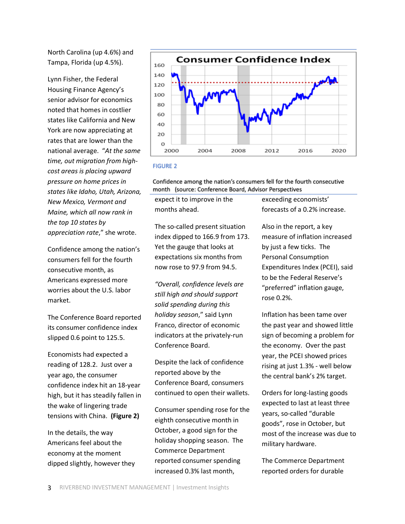North Carolina (up 4.6%) and Tampa, Florida (up 4.5%).

Lynn Fisher, the Federal Housing Finance Agency's senior advisor for economics noted that homes in costlier states like California and New York are now appreciating at rates that are lower than the national average. "*At the same time, out migration from highcost areas is placing upward pressure on home prices in states like Idaho, Utah, Arizona, New Mexico, Vermont and Maine, which all now rank in the top 10 states by appreciation rate*," she wrote.

Confidence among the nation's consumers fell for the fourth consecutive month, as Americans expressed more worries about the U.S. labor market.

The Conference Board reported its consumer confidence index slipped 0.6 point to 125.5.

Economists had expected a reading of 128.2. Just over a year ago, the consumer confidence index hit an 18-year high, but it has steadily fallen in the wake of lingering trade tensions with China. **(Figure 2)**

In the details, the way Americans feel about the economy at the moment dipped slightly, however they



#### **FIGURE 2**

Confidence among the nation's consumers fell for the fourth consecutive month (source: Conference Board, Advisor Perspectives

expect it to improve in the months ahead.

The so-called present situation index dipped to 166.9 from 173. Yet the gauge that looks at expectations six months from now rose to 97.9 from 94.5.

*"Overall, confidence levels are still high and should support solid spending during this holiday season*," said Lynn Franco, director of economic indicators at the privately-run Conference Board.

Despite the lack of confidence reported above by the Conference Board, consumers continued to open their wallets.

Consumer spending rose for the eighth consecutive month in October, a good sign for the holiday shopping season. The Commerce Department reported consumer spending increased 0.3% last month,

exceeding economists' forecasts of a 0.2% increase.

Also in the report, a key measure of inflation increased by just a few ticks. The Personal Consumption Expenditures Index (PCEI), said to be the Federal Reserve's "preferred" inflation gauge, rose 0.2%.

Inflation has been tame over the past year and showed little sign of becoming a problem for the economy. Over the past year, the PCEI showed prices rising at just 1.3% - well below the central bank's 2% target.

Orders for long-lasting goods expected to last at least three years, so-called "durable goods", rose in October, but most of the increase was due to military hardware.

The Commerce Department reported orders for durable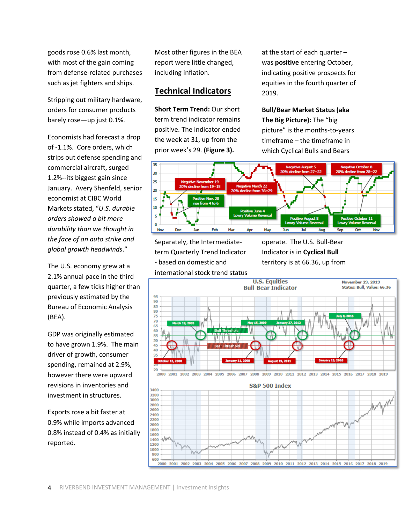goods rose 0.6% last month, with most of the gain coming from defense-related purchases such as jet fighters and ships.

Stripping out military hardware, orders for consumer products barely rose—up just 0.1%.

Economists had forecast a drop of -1.1%. Core orders, which strips out defense spending and commercial aircraft, surged 1.2%--its biggest gain since January. Avery Shenfeld, senior economist at CIBC World Markets stated, "*U.S. durable orders showed a bit more durability than we thought in the face of an auto strike and global growth headwinds*."

The U.S. economy grew at a 2.1% annual pace in the third quarter, a few ticks higher than previously estimated by the Bureau of Economic Analysis (BEA).

GDP was originally estimated to have grown 1.9%. The main driver of growth, consumer spending, remained at 2.9%, however there were upward revisions in inventories and investment in structures.

Exports rose a bit faster at 0.9% while imports advanced 0.8% instead of 0.4% as initially reported.

Most other figures in the BEA report were little changed, including inflation.

# **Technical Indicators**

**Short Term Trend:** Our short term trend indicator remains positive. The indicator ended the week at 31, up from the prior week's 29. **(Figure 3).**

at the start of each quarter – was **positive** entering October, indicating positive prospects for equities in the fourth quarter of 2019.

**Bull/Bear Market Status (aka The Big Picture):** The "big picture" is the months-to-years timeframe – the timeframe in which Cyclical Bulls and Bears



Separately, the Intermediateterm Quarterly Trend Indicator - based on domestic and international stock trend status operate. The U.S. Bull-Bear Indicator is in **Cyclical Bull** territory is at 66.36, up from

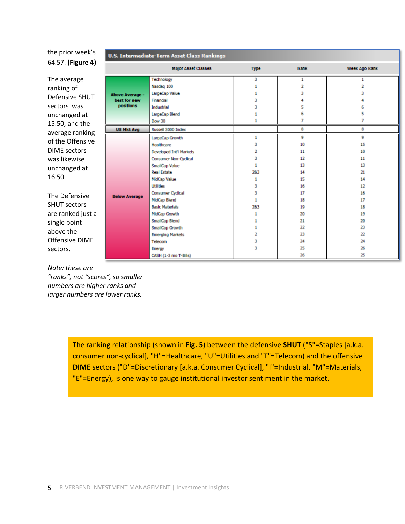the prior week's 64.57. **(Figure 4)**

**U.S. Intermediate-Term Asset Class Rankings** Major Asset Classes Type Rank Week Ago Rank The average Technology 3 Ŧ Ŧ Nasdag 100  $\mathbf 1$  $\overline{2}$  $\overline{2}$ ranking of LargeCap Value  $\mathbf{1}$ 3 3 **Above Average -**Defensive SHUT best for new Financial 3 4 4 positions sectors was Industrial 3 5 6 6 5 LargeCap Blend  $\mathbf{1}$ unchanged at **Dow 30** 1  $\overline{7}$  $\overline{7}$ 15.50, and the **US Mkt Avg** Russell 3000 Index 8 8 average ranking LargeCap Growth  $\mathbf{1}$ ۰ Q of the Offensive 10 Healthcare 3 15 DIME sectors Developed Int'l Markets  $\overline{z}$ 11 10 was likewise Consumer Non-Cyclical 3  $12$ 11  $\mathbf{1}$ 13  $13$ SmallCap Value unchanged at 283  $21$ **Real Estate** 14 16.50. MidCap Value 15  $\mathbf{1}$ 14 **Utilities** 3 16  $12$  $17$ 16 **Consumer Cyclical** 3 The Defensive **Below Average** MidCap Blend  $\mathbf{1}$ 18  $17$ SHUT sectors **Basic Materials** 283 19 18 are ranked just a MidCap Growth 20 19  $\mathbf{I}$ SmallCap Blend  $\mathbf{I}$ 21 20 single point  $\mathbf 1$ 22 23 SmallCap Growth above the 23 22 **Emerging Markets**  $\overline{2}$ Offensive DIME 24  $24$ 3 Telecom 3 25 26 sectors. Energy 26 25 CASH (1-3 mo T-Bills)

*Note: these are* 

*"ranks", not "scores", so smaller numbers are higher ranks and larger numbers are lower ranks.* 

> The ranking relationship (shown in **Fig. 5**) between the defensive **SHUT** ("S"=Staples [a.k.a. consumer non-cyclical], "H"=Healthcare, "U"=Utilities and "T"=Telecom) and the offensive **DIME** sectors ("D"=Discretionary [a.k.a. Consumer Cyclical], "I"=Industrial, "M"=Materials, "E"=Energy), is one way to gauge institutional investor sentiment in the market.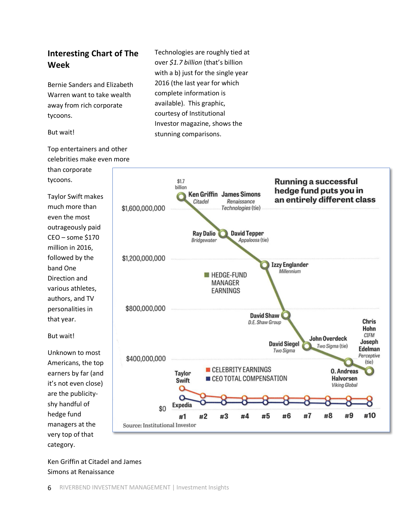# **Interesting Chart of The Week**

Bernie Sanders and Elizabeth Warren want to take wealth away from rich corporate tycoons.

#### But wait!

Top entertainers and other celebrities make even more than corporate tycoons.

Taylor Swift makes much more than even the most outrageously paid CEO – some \$170 million in 2016, followed by the band One Direction and various athletes, authors, and TV personalities in that year.



Technologies are roughly tied at over *\$1.7 billion* (that's billion with a b) just for the single year 2016 (the last year for which complete information is available). This graphic, courtesy of Institutional

Investor magazine, shows the

stunning comparisons.

But wait!

Unknown to most Americans, the top earners by far (and it's not even close) are the publicityshy handful of hedge fund managers at the very top of that category.

Ken Griffin at Citadel and James Simons at Renaissance